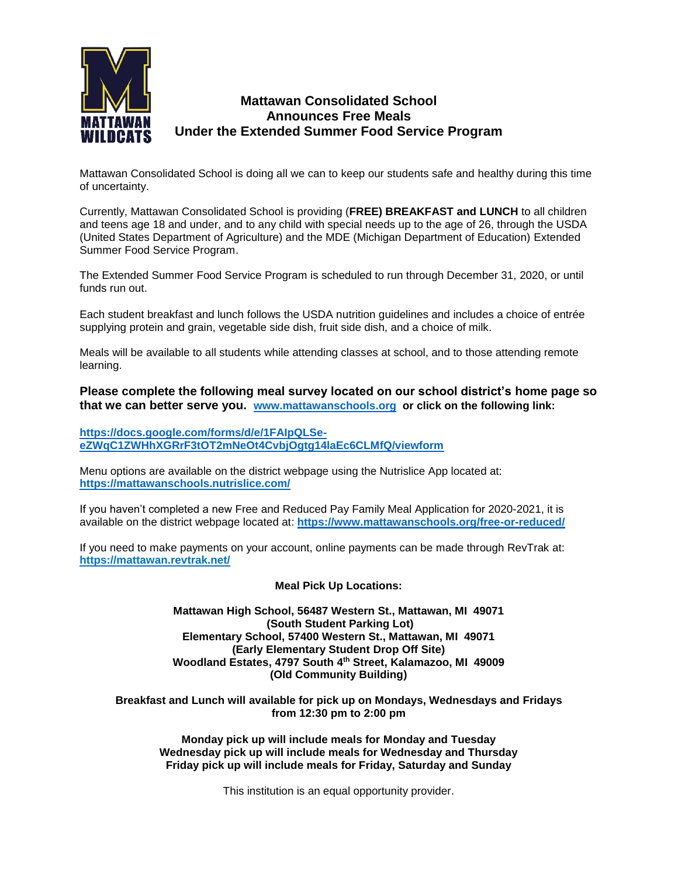

## **Mattawan Consolidated School Announces Free Meals Under the Extended Summer Food Service Program**

Mattawan Consolidated School is doing all we can to keep our students safe and healthy during this time of uncertainty.

Currently, Mattawan Consolidated School is providing (**FREE) BREAKFAST and LUNCH** to all children and teens age 18 and under, and to any child with special needs up to the age of 26, through the USDA (United States Department of Agriculture) and the MDE (Michigan Department of Education) Extended Summer Food Service Program.

The Extended Summer Food Service Program is scheduled to run through December 31, 2020, or until funds run out.

Each student breakfast and lunch follows the USDA nutrition guidelines and includes a choice of entrée supplying protein and grain, vegetable side dish, fruit side dish, and a choice of milk.

Meals will be available to all students while attending classes at school, and to those attending remote learning.

**Please complete the following meal survey located on our school district's home page so that we can better serve you. [www.mattawanschools.org](http://www.mattawanschools.org/) or click on the following link:**

**[https://docs.google.com/forms/d/e/1FAIpQLSe](https://docs.google.com/forms/d/e/1FAIpQLSe-eZWqC1ZWHhXGRrF3tOT2mNeOt4CvbjOgtg14laEc6CLMfQ/viewform)[eZWqC1ZWHhXGRrF3tOT2mNeOt4CvbjOgtg14laEc6CLMfQ/viewform](https://docs.google.com/forms/d/e/1FAIpQLSe-eZWqC1ZWHhXGRrF3tOT2mNeOt4CvbjOgtg14laEc6CLMfQ/viewform)**

Menu options are available on the district webpage using the Nutrislice App located at: **<https://mattawanschools.nutrislice.com/>**

If you haven't completed a new Free and Reduced Pay Family Meal Application for 2020-2021, it is available on the district webpage located at: **<https://www.mattawanschools.org/free-or-reduced/>**

If you need to make payments on your account, online payments can be made through RevTrak at: **https://mattawan.revtrak.net/**

## **Meal Pick Up Locations:**

## **Mattawan High School, 56487 Western St., Mattawan, MI 49071 (South Student Parking Lot) Elementary School, 57400 Western St., Mattawan, MI 49071 (Early Elementary Student Drop Off Site) Woodland Estates, 4797 South 4th Street, Kalamazoo, MI 49009 (Old Community Building)**

**Breakfast and Lunch will available for pick up on Mondays, Wednesdays and Fridays from 12:30 pm to 2:00 pm**

**Monday pick up will include meals for Monday and Tuesday Wednesday pick up will include meals for Wednesday and Thursday Friday pick up will include meals for Friday, Saturday and Sunday** 

This institution is an equal opportunity provider.